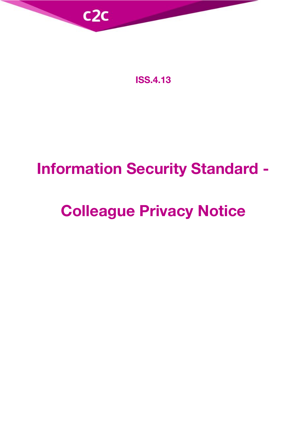

**ISS.4.13**

## **Information Security Standard -**

# **Colleague Privacy Notice**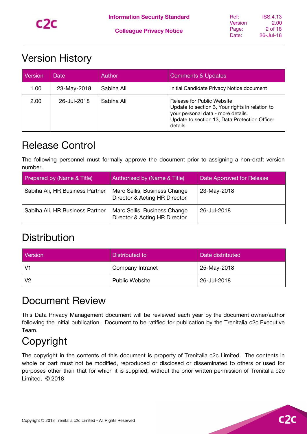### <span id="page-1-0"></span>Version History

| Version | Date        | Author     | <b>Comments &amp; Updates</b>                                                                                                                                                    |
|---------|-------------|------------|----------------------------------------------------------------------------------------------------------------------------------------------------------------------------------|
| 1.00    | 23-May-2018 | Sabiha Ali | Initial Candidate Privacy Notice document                                                                                                                                        |
| 2.00    | 26-Jul-2018 | Sabiha Ali | Release for Public Website<br>Update to section 3, Your rights in relation to<br>your personal data - more details.<br>Update to section 13, Data Protection Officer<br>details. |

### <span id="page-1-1"></span>Release Control

The following personnel must formally approve the document prior to assigning a non-draft version number.

| Prepared by (Name & Title)      | Authorised by (Name & Title)                                  | Date Approved for Release |
|---------------------------------|---------------------------------------------------------------|---------------------------|
| Sabiha Ali, HR Business Partner | Marc Sellis, Business Change<br>Director & Acting HR Director | 23-May-2018               |
| Sabiha Ali, HR Business Partner | Marc Sellis, Business Change<br>Director & Acting HR Director | 26-Jul-2018               |

### <span id="page-1-2"></span>**Distribution**

| Version        | Distributed to        | Date distributed |
|----------------|-----------------------|------------------|
| $\mathsf{IV}1$ | Company Intranet      | 25-May-2018      |
| $\mathsf{IV}2$ | <b>Public Website</b> | 26-Jul-2018      |

### <span id="page-1-3"></span>Document Review

This Data Privacy Management document will be reviewed each year by the document owner/author following the initial publication. Document to be ratified for publication by the Trenitalia c2c Executive Team.

### <span id="page-1-4"></span>Copyright

The copyright in the contents of this document is property of Trenitalia c2c Limited. The contents in whole or part must not be modified, reproduced or disclosed or disseminated to others or used for purposes other than that for which it is supplied, without the prior written permission of Trenitalia c2c Limited. © 2018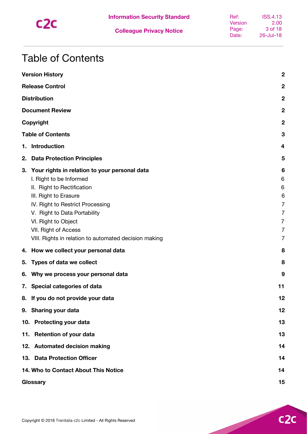

### <span id="page-2-0"></span>Table of Contents

|    | <b>Version History</b>                                                                                                                                                                                                                                                                                      | $\mathbf 2$                                                                                   |
|----|-------------------------------------------------------------------------------------------------------------------------------------------------------------------------------------------------------------------------------------------------------------------------------------------------------------|-----------------------------------------------------------------------------------------------|
|    | <b>Release Control</b>                                                                                                                                                                                                                                                                                      | $\boldsymbol{2}$                                                                              |
|    | <b>Distribution</b>                                                                                                                                                                                                                                                                                         | $\boldsymbol{2}$                                                                              |
|    | <b>Document Review</b>                                                                                                                                                                                                                                                                                      | $\boldsymbol{2}$                                                                              |
|    | Copyright                                                                                                                                                                                                                                                                                                   | $\mathbf 2$                                                                                   |
|    | <b>Table of Contents</b>                                                                                                                                                                                                                                                                                    | 3                                                                                             |
| 1. | Introduction                                                                                                                                                                                                                                                                                                | 4                                                                                             |
| 2. | <b>Data Protection Principles</b>                                                                                                                                                                                                                                                                           | 5                                                                                             |
| 3. | Your rights in relation to your personal data<br>I. Right to be Informed<br>II. Right to Rectification<br>III. Right to Erasure<br>IV. Right to Restrict Processing<br>V. Right to Data Portability<br>VI. Right to Object<br>VII. Right of Access<br>VIII. Rights in relation to automated decision making | 6<br>6<br>6<br>6<br>7<br>$\overline{7}$<br>$\overline{7}$<br>$\overline{7}$<br>$\overline{7}$ |
| 4. | How we collect your personal data                                                                                                                                                                                                                                                                           | 8                                                                                             |
| 5. | Types of data we collect                                                                                                                                                                                                                                                                                    | 8                                                                                             |
| 6. | Why we process your personal data                                                                                                                                                                                                                                                                           | 9                                                                                             |
|    | 7. Special categories of data                                                                                                                                                                                                                                                                               | 11                                                                                            |
|    | 8. If you do not provide your data                                                                                                                                                                                                                                                                          | 12                                                                                            |
|    | 9. Sharing your data                                                                                                                                                                                                                                                                                        | 12                                                                                            |
|    | 10. Protecting your data                                                                                                                                                                                                                                                                                    | 13                                                                                            |
|    | 11. Retention of your data                                                                                                                                                                                                                                                                                  | 13                                                                                            |
|    | 12. Automated decision making                                                                                                                                                                                                                                                                               | 14                                                                                            |
|    | 13. Data Protection Officer                                                                                                                                                                                                                                                                                 | 14                                                                                            |
|    | 14. Who to Contact About This Notice                                                                                                                                                                                                                                                                        | 14                                                                                            |
|    | Glossary                                                                                                                                                                                                                                                                                                    | 15                                                                                            |

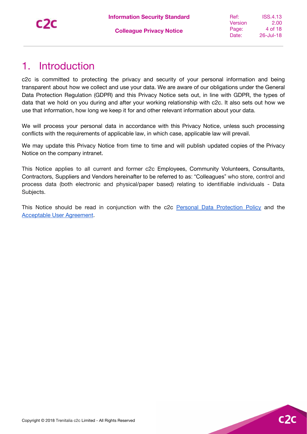### <span id="page-3-0"></span>1. Introduction

c2c is committed to protecting the privacy and security of your personal information and being transparent about how we collect and use your data. We are aware of our obligations under the General Data Protection Regulation (GDPR) and this Privacy Notice sets out, in line with GDPR, the types of data that we hold on you during and after your working relationship with c2c. It also sets out how we use that information, how long we keep it for and other relevant information about your data.

We will process your personal data in accordance with this Privacy Notice, unless such processing conflicts with the requirements of applicable law, in which case, applicable law will prevail.

We may update this Privacy Notice from time to time and will publish updated copies of the Privacy Notice on the company intranet.

This Notice applies to all current and former c2c Employees, Community Volunteers, Consultants, Contractors, Suppliers and Vendors hereinafter to be referred to as: "Colleagues" who store, control and process data (both electronic and physical/paper based) relating to identifiable individuals - Data Subjects.

This Notice should be read in conjunction with the c2c Personal Data [Protection](https://docs.google.com/document/d/1H88Lpytt3X0-7VbaQztjWOb84CIl4OiHz0HhGuDM_Nk/edit?usp=sharing) Policy and the [Acceptable](https://docs.google.com/document/d/1T1LMKjV3Et3GMAuI89UUcZk3cx3tHZ_3uT4hh4zz-5I/edit?usp=sharing) User Agreement.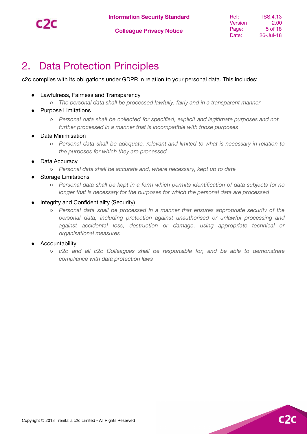

 $C2$ 

### <span id="page-4-0"></span>2. Data Protection Principles

c2c complies with its obligations under GDPR in relation to your personal data. This includes:

- Lawfulness, Fairness and Transparency
	- *The personal data shall be processed lawfully, fairly and in a transparent manner*
- **Purpose Limitations** 
	- *Personal data shall be collected for specified, explicit and legitimate purposes and not further processed in a manner that is incompatible with those purposes*
- Data Minimisation
	- *Personal data shall be adequate, relevant and limited to what is necessary in relation to the purposes for which they are processed*
- Data Accuracy
	- *Personal data shall be accurate and, where necessary, kept up to date*
	- **Storage Limitations** 
		- *Personal data shall be kept in a form which permits identification of data subjects for no longer that is necessary for the purposes for which the personal data are processed*
- **Integrity and Confidentiality (Security)** 
	- *Personal data shall be processed in a manner that ensures appropriate security of the personal data, including protection against unauthorised or unlawful processing and against accidental loss, destruction or damage, using appropriate technical or organisational measures*
- Accountability
	- *c2c and all c2c Colleagues shall be responsible for, and be able to demonstrate compliance with data protection laws*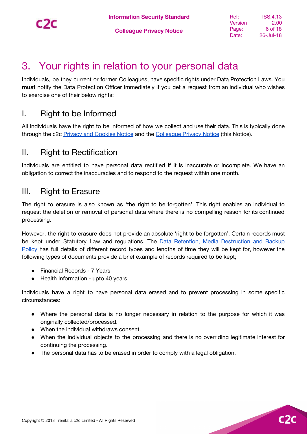$C<sub>2</sub>$ 

### <span id="page-5-0"></span>3. Your rights in relation to your personal data

Individuals, be they current or former Colleagues, have specific rights under Data Protection Laws. You **must** notify the Data Protection Officer immediately if you get a request from an individual who wishes to exercise one of their below rights:

#### <span id="page-5-1"></span>I. Right to be Informed

All individuals have the right to be informed of how we collect and use their data. This is typically done through the c2c Privacy and [Cookies](https://www.c2c-online.co.uk/privacy-and-cookies-notice/) Notice and the [Colleague](https://docs.google.com/document/d/1P4wt1kYwVwXOemc3m2GjGYutP6zLBgzo1lPWi6FyjFA/edit?usp=sharing) Privacy Notice (this Notice).

#### <span id="page-5-2"></span>II. Right to Rectification

Individuals are entitled to have personal data rectified if it is inaccurate or incomplete. We have an obligation to correct the inaccuracies and to respond to the request within one month.

#### <span id="page-5-3"></span>III. Right to Erasure

The right to erasure is also known as 'the right to be forgotten'. This right enables an individual to request the deletion or removal of personal data where there is no compelling reason for its continued processing.

However, the right to erasure does not provide an absolute 'right to be forgotten'. Certain records must be kept under Statutory Law and regulations. The **Data Retention, Media [Destruction](https://docs.google.com/document/d/1QTj9RHtBJQe-FOrhrvCTUBzze9GrnTqmiHuEYpGTIBk/edit?usp=sharing) and Backup** [Policy](https://docs.google.com/document/d/1QTj9RHtBJQe-FOrhrvCTUBzze9GrnTqmiHuEYpGTIBk/edit?usp=sharing) has full details of different record types and lengths of time they will be kept for, however the following types of documents provide a brief example of records required to be kept;

- Financial Records 7 Years
- Health Information upto 40 years

Individuals have a right to have personal data erased and to prevent processing in some specific circumstances:

- Where the personal data is no longer necessary in relation to the purpose for which it was originally collected/processed.
- When the individual withdraws consent.
- When the individual objects to the processing and there is no overriding legitimate interest for continuing the processing.
- The personal data has to be erased in order to comply with a legal obligation.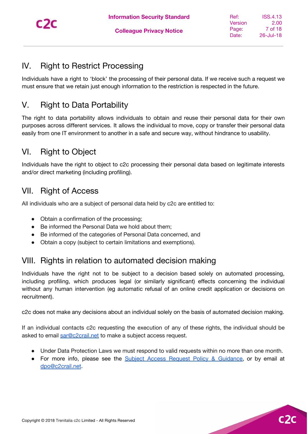

#### <span id="page-6-0"></span>IV. Right to Restrict Processing

Individuals have a right to 'block' the processing of their personal data. If we receive such a request we must ensure that we retain just enough information to the restriction is respected in the future.

#### <span id="page-6-1"></span>V. Right to Data Portability

The right to data portability allows individuals to obtain and reuse their personal data for their own purposes across different services. It allows the individual to move, copy or transfer their personal data easily from one IT environment to another in a safe and secure way, without hindrance to usability.

#### <span id="page-6-2"></span>VI. Right to Object

Individuals have the right to object to c2c processing their personal data based on legitimate interests and/or direct marketing (including profiling).

#### <span id="page-6-3"></span>VII. Right of Access

All individuals who are a subject of personal data held by c2c are entitled to:

- Obtain a confirmation of the processing;
- Be informed the Personal Data we hold about them;
- Be informed of the categories of Personal Data concerned, and
- Obtain a copy (subject to certain limitations and exemptions).

#### <span id="page-6-4"></span>VIII. Rights in relation to automated decision making

Individuals have the right not to be subject to a decision based solely on automated processing, including profiling, which produces legal (or similarly significant) effects concerning the individual without any human intervention (eg automatic refusal of an online credit application or decisions on recruitment).

c2c does not make any decisions about an individual solely on the basis of automated decision making.

If an individual contacts c2c requesting the execution of any of these rights, the individual should be asked to email [sar@c2crail.net](mailto:dpo@c2crail.net) to make a subject access request.

- Under Data Protection Laws we must respond to valid requests within no more than one month.
- For more info, please see the Subject Access Request Policy & [Guidance](https://docs.google.com/document/d/14-6enouEDc0dksoUZyxEBTUYf6b3WMMrp_Io8Wx8RrU/edit?usp=sharing), or by email at [dpo@c2crail.net.](mailto:dpo@c2crail.net)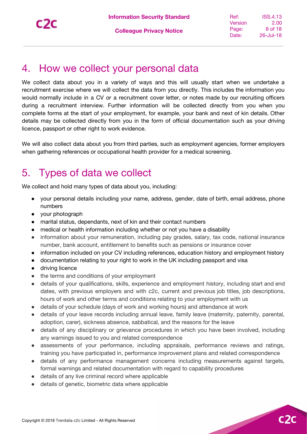$C<sub>2</sub>$ 

### <span id="page-7-0"></span>4. How we collect your personal data

We collect data about you in a variety of ways and this will usually start when we undertake a recruitment exercise where we will collect the data from you directly. This includes the information you would normally include in a CV or a recruitment cover letter, or notes made by our recruiting officers during a recruitment interview. Further information will be collected directly from you when you complete forms at the start of your employment, for example, your bank and next of kin details. Other details may be collected directly from you in the form of official documentation such as your driving licence, passport or other right to work evidence.

We will also collect data about you from third parties, such as employment agencies, former employers when gathering references or occupational health provider for a medical screening.

### <span id="page-7-1"></span>5. Types of data we collect

We collect and hold many types of data about you, including:

- your personal details including your name, address, gender, date of birth, email address, phone numbers
- your photograph
- marital status, dependants, next of kin and their contact numbers
- medical or health information including whether or not you have a disability
- information about your remuneration, including pay grades, salary, tax code, national insurance number, bank account, entitlement to benefits such as pensions or insurance cover
- information included on your CV including references, education history and employment history
- documentation relating to your right to work in the UK including passport and visa
- driving licence
- the terms and conditions of your employment
- details of your qualifications, skills, experience and employment history, including start and end dates, with previous employers and with c2c, current and previous job titles, job descriptions, hours of work and other terms and conditions relating to your employment with us
- details of your schedule (days of work and working hours) and attendance at work
- details of your leave records including annual leave, family leave (maternity, paternity, parental, adoption, carer), sickness absence, sabbatical, and the reasons for the leave
- details of any disciplinary or grievance procedures in which you have been involved, including any warnings issued to you and related correspondence
- assessments of your performance, including appraisals, performance reviews and ratings, training you have participated in, performance improvement plans and related correspondence
- details of any performance management concerns including measurements against targets, formal warnings and related documentation with regard to capability procedures
- details of any live criminal record where applicable
- details of genetic, biometric data where applicable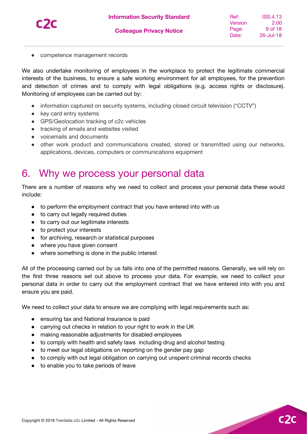

 $c2$ 

● competence management records

We also undertake monitoring of employees in the workplace to protect the legitimate commercial interests of the business, to ensure a safe working environment for all employees, for the prevention and detection of crimes and to comply with legal obligations (e.g. access rights or disclosure). Monitoring of employees can be carried out by:

- information captured on security systems, including closed circuit television ("CCTV")
- key card entry systems
- GPS/Geolocation tracking of c2c vehicles
- tracking of emails and websites visited
- voicemails and documents
- other work product and communications created, stored or transmitted using our networks, applications, devices, computers or communications equipment

### <span id="page-8-0"></span>6. Why we process your personal data

There are a number of reasons why we need to collect and process your personal data these would include:

- to perform the employment contract that you have entered into with us
- to carry out legally required duties
- to carry out our legitimate interests
- to protect your interests
- for archiving, research or statistical purposes
- where you have given consent
- where something is done in the public interest

All of the processing carried out by us falls into one of the permitted reasons. Generally, we will rely on the first three reasons set out above to process your data. For example, we need to collect your personal data in order to carry out the employment contract that we have entered into with you and ensure you are paid.

We need to collect your data to ensure we are complying with legal requirements such as:

- ensuring tax and National Insurance is paid
- carrying out checks in relation to your right to work in the UK
- making reasonable adjustments for disabled employees
- to comply with health and safety laws including drug and alcohol testing
- to meet our legal obligations on reporting on the gender pay gap
- to comply with out legal obligation on carrying out unspent criminal records checks
- to enable you to take periods of leave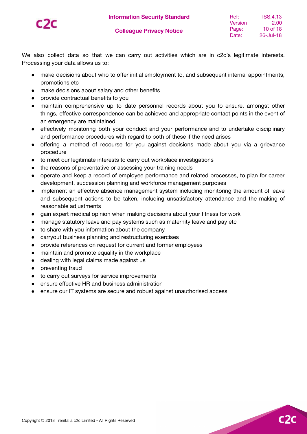

 $C<sub>2</sub>$ 

We also collect data so that we can carry out activities which are in c2c's legitimate interests. Processing your data allows us to:

- make decisions about who to offer initial employment to, and subsequent internal appointments, promotions etc
- make decisions about salary and other benefits
- provide contractual benefits to you
- maintain comprehensive up to date personnel records about you to ensure, amongst other things, effective correspondence can be achieved and appropriate contact points in the event of an emergency are maintained
- effectively monitoring both your conduct and your performance and to undertake disciplinary and performance procedures with regard to both of these if the need arises
- offering a method of recourse for you against decisions made about you via a grievance procedure
- to meet our legitimate interests to carry out workplace investigations
- the reasons of preventative or assessing your training needs
- operate and keep a record of employee performance and related processes, to plan for career development, succession planning and workforce management purposes
- implement an effective absence management system including monitoring the amount of leave and subsequent actions to be taken, including unsatisfactory attendance and the making of reasonable adjustments
- gain expert medical opinion when making decisions about your fitness for work
- manage statutory leave and pay systems such as maternity leave and pay etc
- to share with you information about the company
- carryout business planning and restructuring exercises
- provide references on request for current and former employees
- maintain and promote equality in the workplace
- dealing with legal claims made against us
- preventing fraud
- to carry out surveys for service improvements
- ensure effective HR and business administration
- ensure our IT systems are secure and robust against unauthorised access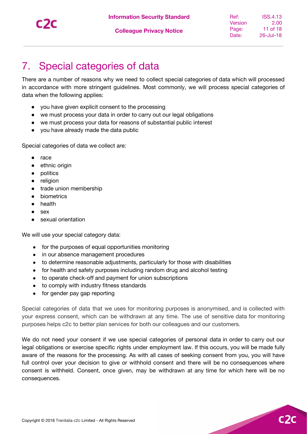

### <span id="page-10-0"></span>7. Special categories of data

There are a number of reasons why we need to collect special categories of data which will processed in accordance with more stringent guidelines. Most commonly, we will process special categories of data when the following applies:

- you have given explicit consent to the processing
- we must process your data in order to carry out our legal obligations
- we must process your data for reasons of substantial public interest
- you have already made the data public

Special categories of data we collect are:

- race
- ethnic origin
- politics
- religion
- trade union membership
- biometrics
- health
- sex
- sexual orientation

We will use your special category data:

- for the purposes of equal opportunities monitoring
- in our absence management procedures
- to determine reasonable adjustments, particularly for those with disabilities
- for health and safety purposes including random drug and alcohol testing
- to operate check-off and payment for union subscriptions
- to comply with industry fitness standards
- for gender pay gap reporting

Special categories of data that we uses for monitoring purposes is anonymised, and is collected with your express consent, which can be withdrawn at any time. The use of sensitive data for monitoring purposes helps c2c to better plan services for both our colleagues and our customers.

We do not need your consent if we use special categories of personal data in order to carry out our legal obligations or exercise specific rights under employment law. If this occurs, you will be made fully aware of the reasons for the processing. As with all cases of seeking consent from you, you will have full control over your decision to give or withhold consent and there will be no consequences where consent is withheld. Consent, once given, may be withdrawn at any time for which here will be no consequences.

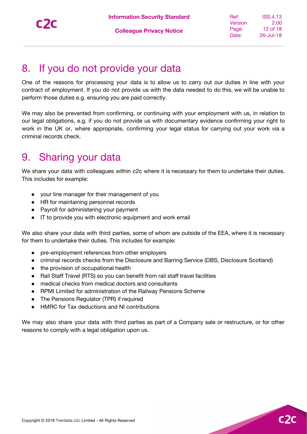$C<sub>2</sub>$ 

### <span id="page-11-0"></span>8. If you do not provide your data

One of the reasons for processing your data is to allow us to carry out our duties in line with your contract of employment. If you do not provide us with the data needed to do this, we will be unable to perform those duties e.g. ensuring you are paid correctly.

We may also be prevented from confirming, or continuing with your employment with us, in relation to our legal obligations, e.g. if you do not provide us with documentary evidence confirming your right to work in the UK or, where appropriate, confirming your legal status for carrying out your work via a criminal records check.

### <span id="page-11-1"></span>9. Sharing your data

We share your data with colleagues within c2c where it is necessary for them to undertake their duties. This includes for example:

- your line manager for their management of you
- HR for maintaining personnel records
- Payroll for administering your payment
- IT to provide you with electronic equipment and work email

We also share your data with third parties, some of whom are outside of the EEA, where it is necessary for them to undertake their duties. This includes for example:

- pre-employment references from other employers
- **●** criminal records checks from the Disclosure and Barring Service (DBS, Disclosure Scotland)
- **●** the provision of occupational health
- Rail Staff Travel (RTS) so you can benefit from rail staff travel facilities
- **●** medical checks from medical doctors and consultants
- **●** RPMI Limited for administration of the Railway Pensions Scheme
- **●** The Pensions Regulator (TPR) if required
- **HMRC for Tax deductions and NI contributions**

We may also share your data with third parties as part of a Company sale or restructure, or for other reasons to comply with a legal obligation upon us.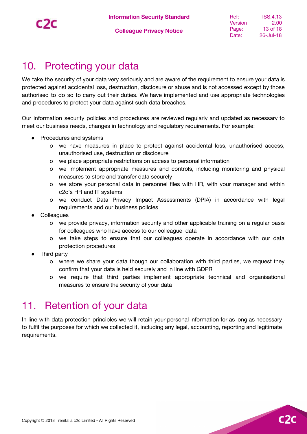$C<sub>2</sub>$ 

### <span id="page-12-0"></span>10. Protecting your data

We take the security of your data very seriously and are aware of the requirement to ensure your data is protected against accidental loss, destruction, disclosure or abuse and is not accessed except by those authorised to do so to carry out their duties. We have implemented and use appropriate technologies and procedures to protect your data against such data breaches.

Our information security policies and procedures are reviewed regularly and updated as necessary to meet our business needs, changes in technology and regulatory requirements. For example:

- Procedures and systems
	- o we have measures in place to protect against accidental loss, unauthorised access, unauthorised use, destruction or disclosure
	- o we place appropriate restrictions on access to personal information
	- o we implement appropriate measures and controls, including monitoring and physical measures to store and transfer data securely
	- o we store your personal data in personnel files with HR, with your manager and within c2c's HR and IT systems
	- o we conduct Data Privacy Impact Assessments (DPIA) in accordance with legal requirements and our business policies
- Colleagues
	- o we provide privacy, information security and other applicable training on a regular basis for colleagues who have access to our colleague data
	- o we take steps to ensure that our colleagues operate in accordance with our data protection procedures
- **Third party** 
	- o where we share your data though our collaboration with third parties, we request they confirm that your data is held securely and in line with GDPR
	- o we require that third parties implement appropriate technical and organisational measures to ensure the security of your data

### <span id="page-12-1"></span>11. Retention of your data

In line with data protection principles we will retain your personal information for as long as necessary to fulfil the purposes for which we collected it, including any legal, accounting, reporting and legitimate requirements.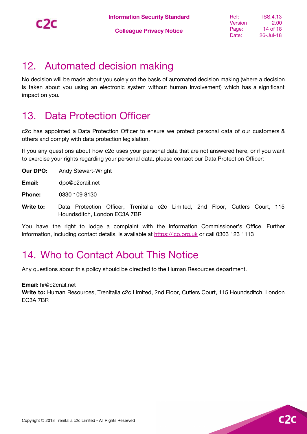$C<sub>2</sub>$ 

### <span id="page-13-0"></span>12. Automated decision making

No decision will be made about you solely on the basis of automated decision making (where a decision is taken about you using an electronic system without human involvement) which has a significant impact on you.

### <span id="page-13-1"></span>13. Data Protection Officer

c2c has appointed a Data Protection Officer to ensure we protect personal data of our customers & others and comply with data protection legislation.

If you any questions about how c2c uses your personal data that are not answered here, or if you want to exercise your rights regarding your personal data, please contact our Data Protection Officer:

**Our DPO:** Andy Stewart-Wright

**Email:** dpo@c2crail.net

**Phone:** 0330 109 8130

**Write to:** Data Protection Officer, Trenitalia c2c Limited, 2nd Floor, Cutlers Court, 115 Houndsditch, London EC3A 7BR

You have the right to lodge a complaint with the Information Commissioner's Office. Further information, including contact details, is available at [https://ico.org.uk](https://ico.org.uk/) or call 0303 123 1113

### <span id="page-13-2"></span>14. Who to Contact About This Notice

Any questions about this policy should be directed to the Human Resources department.

**Email:** hr@c2crail.net

**Write to:** Human Resources, Trenitalia c2c Limited, 2nd Floor, Cutlers Court, 115 Houndsditch, London EC3A 7BR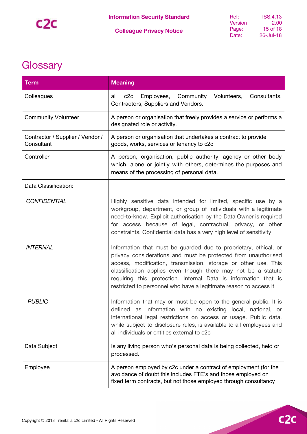## <span id="page-14-0"></span>**Glossary**

| Term                                           | <b>Meaning</b>                                                                                                                                                                                                                                                                                                                                                                                                |  |
|------------------------------------------------|---------------------------------------------------------------------------------------------------------------------------------------------------------------------------------------------------------------------------------------------------------------------------------------------------------------------------------------------------------------------------------------------------------------|--|
| Colleagues                                     | all<br>c2c<br>Employees, Community<br>Volunteers,<br>Consultants,<br>Contractors, Suppliers and Vendors.                                                                                                                                                                                                                                                                                                      |  |
| <b>Community Volunteer</b>                     | A person or organisation that freely provides a service or performs a<br>designated role or activity.                                                                                                                                                                                                                                                                                                         |  |
| Contractor / Supplier / Vendor /<br>Consultant | A person or organisation that undertakes a contract to provide<br>goods, works, services or tenancy to c2c                                                                                                                                                                                                                                                                                                    |  |
| Controller                                     | A person, organisation, public authority, agency or other body<br>which, alone or jointly with others, determines the purposes and<br>means of the processing of personal data.                                                                                                                                                                                                                               |  |
| Data Classification:                           |                                                                                                                                                                                                                                                                                                                                                                                                               |  |
| <b>CONFIDENTIAL</b>                            | Highly sensitive data intended for limited, specific use by a<br>workgroup, department, or group of individuals with a legitimate<br>need-to-know. Explicit authorisation by the Data Owner is required<br>for access because of legal, contractual, privacy, or other<br>constraints. Confidential data has a very high level of sensitivity                                                                 |  |
| <b>INTERNAL</b>                                | Information that must be guarded due to proprietary, ethical, or<br>privacy considerations and must be protected from unauthorised<br>access, modification, transmission, storage or other use. This<br>classification applies even though there may not be a statute<br>requiring this protection. Internal Data is information that is<br>restricted to personnel who have a legitimate reason to access it |  |
| <b>PUBLIC</b>                                  | Information that may or must be open to the general public. It is<br>defined as information with no existing local, national, or<br>international legal restrictions on access or usage. Public data,<br>while subject to disclosure rules, is available to all employees and<br>all individuals or entities external to c2c                                                                                  |  |
| Data Subject                                   | Is any living person who's personal data is being collected, held or<br>processed.                                                                                                                                                                                                                                                                                                                            |  |
| Employee                                       | A person employed by c2c under a contract of employment (for the<br>avoidance of doubt this includes FTE's and those employed on<br>fixed term contracts, but not those employed through consultancy                                                                                                                                                                                                          |  |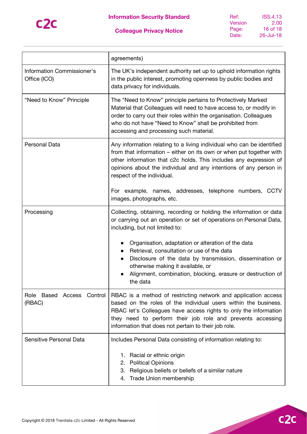

| Ref:    | <b>ISS.4.13</b> |
|---------|-----------------|
| Version | 2.00            |
| Page:   | 16 of 18        |
| Date:   | 26-Jul-18       |

|                                                   | agreements)                                                                                                                                                                                                                                                                                                                 |  |
|---------------------------------------------------|-----------------------------------------------------------------------------------------------------------------------------------------------------------------------------------------------------------------------------------------------------------------------------------------------------------------------------|--|
| <b>Information Commissioner's</b><br>Office (ICO) | The UK's independent authority set up to uphold information rights<br>in the public interest, promoting openness by public bodies and<br>data privacy for individuals.                                                                                                                                                      |  |
| "Need to Know" Principle                          | The "Need to Know" principle pertains to Protectively Marked<br>Material that Colleagues will need to have access to, or modify in<br>order to carry out their roles within the organisation. Colleagues<br>who do not have "Need to Know" shall be prohibited from<br>accessing and processing such material.              |  |
| Personal Data                                     | Any information relating to a living individual who can be identified<br>from that information – either on its own or when put together with<br>other information that c2c holds. This includes any expression of<br>opinions about the individual and any intentions of any person in<br>respect of the individual.        |  |
|                                                   | For example, names, addresses, telephone numbers, CCTV<br>images, photographs, etc.                                                                                                                                                                                                                                         |  |
| Processing                                        | Collecting, obtaining, recording or holding the information or data<br>or carrying out an operation or set of operations on Personal Data,<br>including, but not limited to:                                                                                                                                                |  |
|                                                   | Organisation, adaptation or alteration of the data<br>Retrieval, consultation or use of the data<br>Disclosure of the data by transmission, dissemination or<br>otherwise making it available, or<br>Alignment, combination, blocking, erasure or destruction of<br>the data                                                |  |
| Role Based Access Control<br>(RBAC)               | RBAC is a method of restricting network and application access<br>based on the roles of the individual users within the business.<br>RBAC let's Colleagues have access rights to only the information<br>they need to perform their job role and prevents accessing<br>information that does not pertain to their job role. |  |
| Sensitive Personal Data                           | Includes Personal Data consisting of information relating to:                                                                                                                                                                                                                                                               |  |
|                                                   | 1. Racial or ethnic origin<br>2. Political Opinions<br>Religious beliefs or beliefs of a similar nature<br>3.<br>Trade Union membership<br>4.                                                                                                                                                                               |  |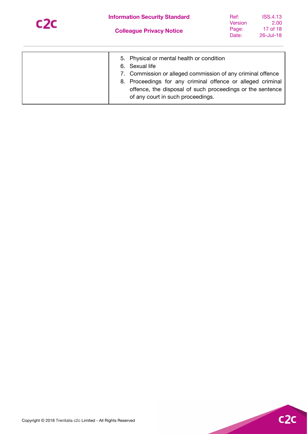

| Ref:    | ISS.4.13  |
|---------|-----------|
| Version | 2.00      |
| Page:   | 17 of 18  |
| Date:   | 26-Jul-18 |

| 6. Sexual life<br>of any court in such proceedings. | 5. Physical or mental health or condition<br>7. Commission or alleged commission of any criminal offence<br>8. Proceedings for any criminal offence or alleged criminal<br>offence, the disposal of such proceedings or the sentence |
|-----------------------------------------------------|--------------------------------------------------------------------------------------------------------------------------------------------------------------------------------------------------------------------------------------|
|-----------------------------------------------------|--------------------------------------------------------------------------------------------------------------------------------------------------------------------------------------------------------------------------------------|